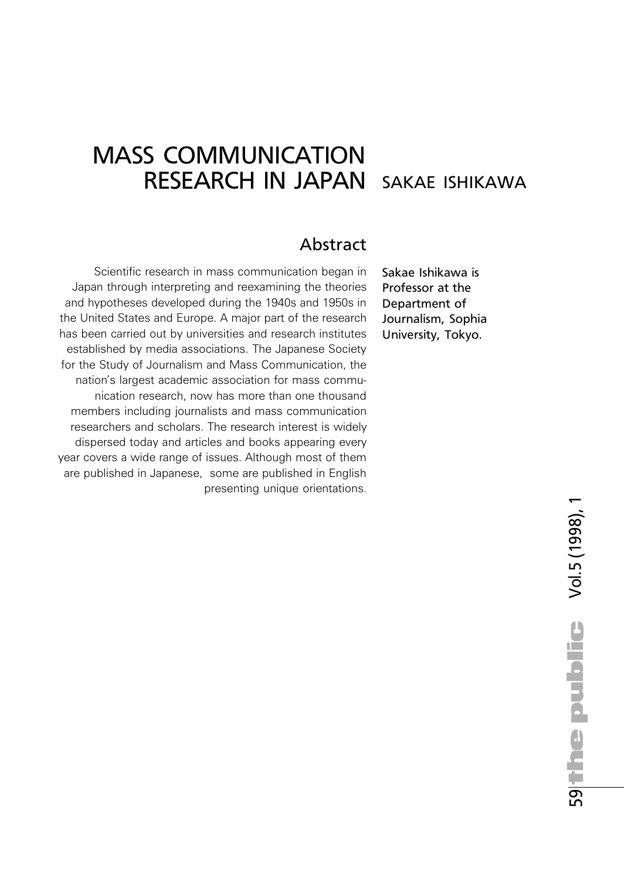# MASS COMMUNICATION RESEARCH IN JAPAN SAKAE ISHIKAWA

# Abstract

Scientific research in mass communication began in Japan through interpreting and reexamining the theories and hypotheses developed during the 1940s and 1950s in the United States and Europe. A major part of the research has been carried out by universities and research institutes established by media associations. The Japanese Society for the Study of Journalism and Mass Communication, the nation's largest academic association for mass communication research, now has more than one thousand members including journalists and mass communication researchers and scholars. The research interest is widely dispersed today and articles and books appearing every year covers a wide range of issues. Although most of them are published in Japanese, some are published in English presenting unique orientations.

Sakae Ishikawa is Professor at the Department of Journalism, Sophia University, Tokyo.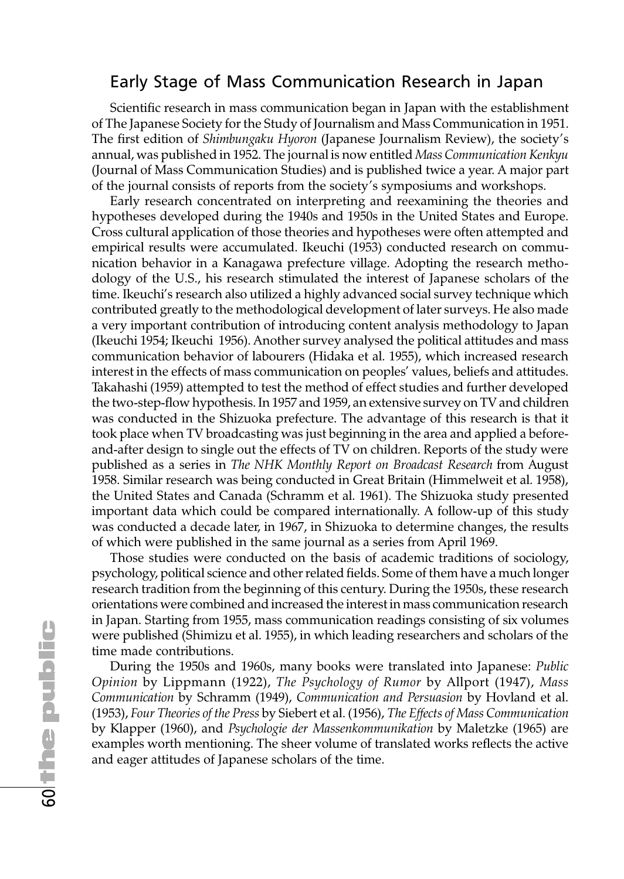# Early Stage of Mass Communication Research in Japan

Scientific research in mass communication began in Japan with the establishment of The Japanese Society for the Study of Journalism and Mass Communication in 1951. The first edition of Shimbungaku Hyoron (Japanese Journalism Review), the society's annual, was published in 1952. The journal is now entitled Mass Communication Kenkyu (Journal of Mass Communication Studies) and is published twice a year. A major part of the journal consists of reports from the society's symposiums and workshops.

Early research concentrated on interpreting and reexamining the theories and hypotheses developed during the 1940s and 1950s in the United States and Europe. Cross cultural application of those theories and hypotheses were often attempted and empirical results were accumulated. Ikeuchi (1953) conducted research on communication behavior in a Kanagawa prefecture village. Adopting the research methodology of the U.S., his research stimulated the interest of Japanese scholars of the time. Ikeuchi's research also utilized a highly advanced social survey technique which contributed greatly to the methodological development of later surveys. He also made a very important contribution of introducing content analysis methodology to Japan (Ikeuchi 1954; Ikeuchi 1956). Another survey analysed the political attitudes and mass communication behavior of labourers (Hidaka et al. 1955), which increased research interest in the effects of mass communication on peoples' values, beliefs and attitudes. Takahashi (1959) attempted to test the method of effect studies and further developed the two-step-flow hypothesis. In 1957 and 1959, an extensive survey on TV and children was conducted in the Shizuoka prefecture. The advantage of this research is that it took place when TV broadcasting was just beginning in the area and applied a beforeand-after design to single out the effects of TV on children. Reports of the study were published as a series in The NHK Monthly Report on Broadcast Research from August 1958. Similar research was being conducted in Great Britain (Himmelweit et al. 1958), the United States and Canada (Schramm et al. 1961). The Shizuoka study presented important data which could be compared internationally. A follow-up of this study was conducted a decade later, in 1967, in Shizuoka to determine changes, the results of which were published in the same journal as a series from April 1969.

Those studies were conducted on the basis of academic traditions of sociology, psychology, political science and other related fields. Some of them have a much longer research tradition from the beginning of this century. During the 1950s, these research orientations were combined and increased the interest in mass communication research in Japan. Starting from 1955, mass communication readings consisting of six volumes were published (Shimizu et al. 1955), in which leading researchers and scholars of the time made contributions.

During the 1950s and 1960s, many books were translated into Japanese: Public Opinion by Lippmann (1922), The Psychology of Rumor by Allport (1947), Mass Communication by Schramm (1949), Communication and Persuasion by Hovland et al. (1953), Four Theories of the Press by Siebert et al. (1956), The Effects of Mass Communication by Klapper (1960), and Psychologie der Massenkommunikation by Maletzke (1965) are examples worth mentioning. The sheer volume of translated works reflects the active and eager attitudes of Japanese scholars of the time.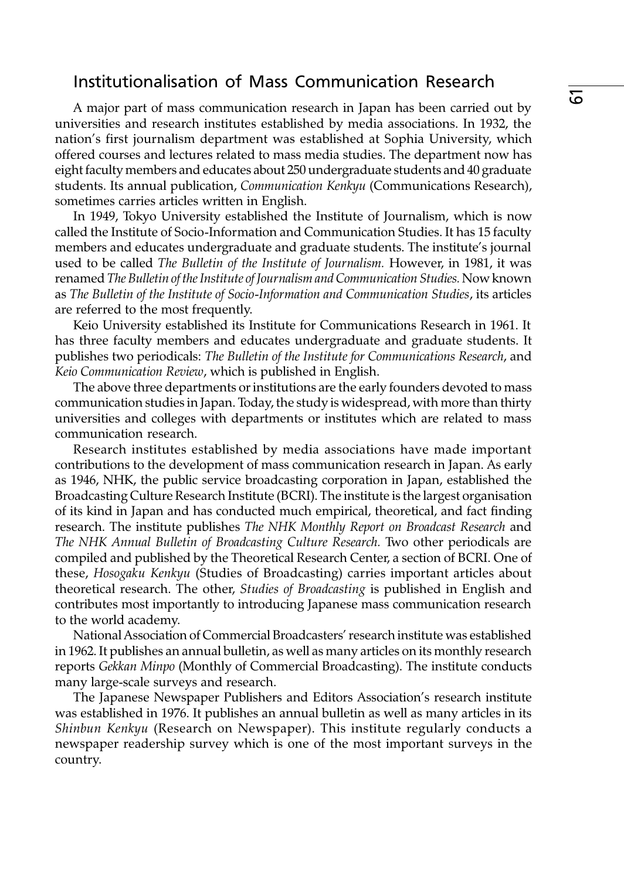# Institutionalisation of Mass Communication Research

A major part of mass communication research in Japan has been carried out by universities and research institutes established by media associations. In 1932, the nation's first journalism department was established at Sophia University, which offered courses and lectures related to mass media studies. The department now has eight faculty members and educates about 250 undergraduate students and 40 graduate students. Its annual publication, *Communication Kenkyu* (Communications Research), sometimes carries articles written in English.

In 1949, Tokyo University established the Institute of Journalism, which is now called the Institute of Socio-Information and Communication Studies. It has 15 faculty members and educates undergraduate and graduate students. The institute's journal used to be called The Bulletin of the Institute of Journalism. However, in 1981, it was renamed The Bulletin of the Institute of Journalism and Communication Studies. Now known as The Bulletin of the Institute of Socio-Information and Communication Studies, its articles are referred to the most frequently.

Keio University established its Institute for Communications Research in 1961. It has three faculty members and educates undergraduate and graduate students. It publishes two periodicals: The Bulletin of the Institute for Communications Research, and Keio Communication Review, which is published in English.

The above three departments or institutions are the early founders devoted to mass communication studies in Japan. Today, the study is widespread, with more than thirty universities and colleges with departments or institutes which are related to mass communication research.

Research institutes established by media associations have made important contributions to the development of mass communication research in Japan. As early as 1946, NHK, the public service broadcasting corporation in Japan, established the Broadcasting Culture Research Institute (BCRI). The institute is the largest organisation of its kind in Japan and has conducted much empirical, theoretical, and fact finding research. The institute publishes The NHK Monthly Report on Broadcast Research and The NHK Annual Bulletin of Broadcasting Culture Research. Two other periodicals are compiled and published by the Theoretical Research Center, a section of BCRI. One of these, Hosogaku Kenkyu (Studies of Broadcasting) carries important articles about theoretical research. The other, Studies of Broadcasting is published in English and contributes most importantly to introducing Japanese mass communication research to the world academy.

National Association of Commercial Broadcasters' research institute was established in 1962. It publishes an annual bulletin, as well as many articles on its monthly research reports Gekkan Minpo (Monthly of Commercial Broadcasting). The institute conducts many large-scale surveys and research.

The Japanese Newspaper Publishers and Editors Association's research institute was established in 1976. It publishes an annual bulletin as well as many articles in its Shinbun Kenkyu (Research on Newspaper). This institute regularly conducts a newspaper readership survey which is one of the most important surveys in the country.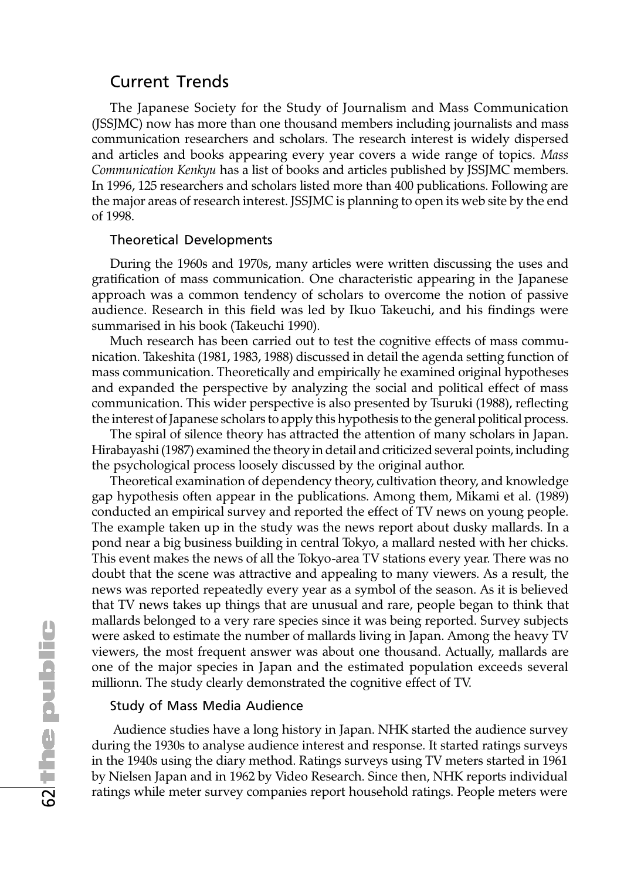# Current Trends

The Japanese Society for the Study of Journalism and Mass Communication (JSSJMC) now has more than one thousand members including journalists and mass communication researchers and scholars. The research interest is widely dispersed and articles and books appearing every year covers a wide range of topics. Mass Communication Kenkyu has a list of books and articles published by JSSJMC members. In 1996, 125 researchers and scholars listed more than 400 publications. Following are the major areas of research interest. JSSJMC is planning to open its web site by the end of 1998.

### Theoretical Developments

During the 1960s and 1970s, many articles were written discussing the uses and gratification of mass communication. One characteristic appearing in the Japanese approach was a common tendency of scholars to overcome the notion of passive audience. Research in this field was led by Ikuo Takeuchi, and his findings were summarised in his book (Takeuchi 1990).

Much research has been carried out to test the cognitive effects of mass communication. Takeshita (1981, 1983, 1988) discussed in detail the agenda setting function of mass communication. Theoretically and empirically he examined original hypotheses and expanded the perspective by analyzing the social and political effect of mass communication. This wider perspective is also presented by Tsuruki (1988), reflecting the interest of Japanese scholars to apply this hypothesis to the general political process.

The spiral of silence theory has attracted the attention of many scholars in Japan. Hirabayashi (1987) examined the theory in detail and criticized several points, including the psychological process loosely discussed by the original author.

Theoretical examination of dependency theory, cultivation theory, and knowledge gap hypothesis often appear in the publications. Among them, Mikami et al. (1989) conducted an empirical survey and reported the effect of TV news on young people. The example taken up in the study was the news report about dusky mallards. In a pond near a big business building in central Tokyo, a mallard nested with her chicks. This event makes the news of all the Tokyo-area TV stations every year. There was no doubt that the scene was attractive and appealing to many viewers. As a result, the news was reported repeatedly every year as a symbol of the season. As it is believed that TV news takes up things that are unusual and rare, people began to think that mallards belonged to a very rare species since it was being reported. Survey subjects were asked to estimate the number of mallards living in Japan. Among the heavy TV viewers, the most frequent answer was about one thousand. Actually, mallards are one of the major species in Japan and the estimated population exceeds several millionn. The study clearly demonstrated the cognitive effect of TV.

# Study of Mass Media Audience

 Audience studies have a long history in Japan. NHK started the audience survey during the 1930s to analyse audience interest and response. It started ratings surveys in the 1940s using the diary method. Ratings surveys using TV meters started in 1961 by Nielsen Japan and in 1962 by Video Research. Since then, NHK reports individual ratings while meter survey companies report household ratings. People meters were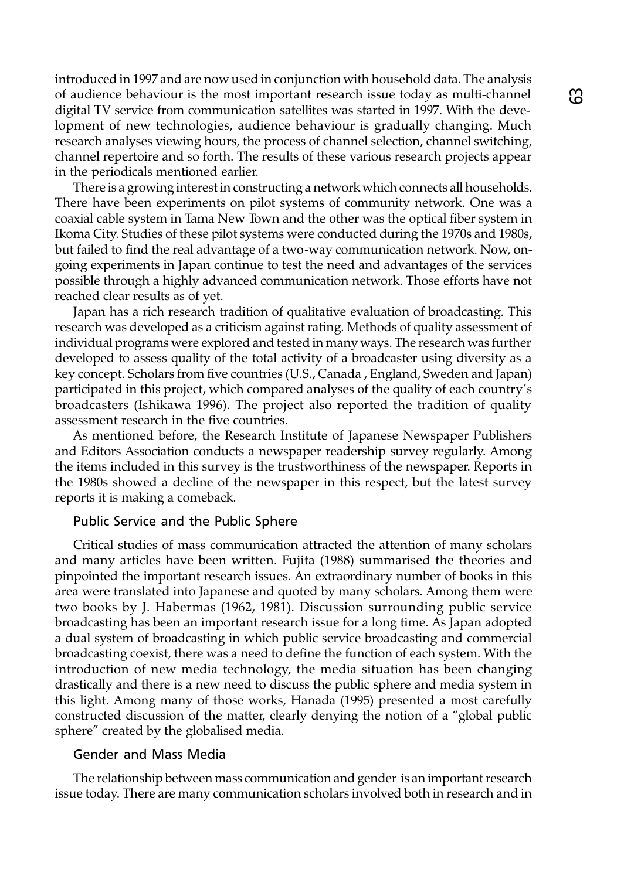introduced in 1997 and are now used in conjunction with household data. The analysis of audience behaviour is the most important research issue today as multi-channel digital TV service from communication satellites was started in 1997. With the development of new technologies, audience behaviour is gradually changing. Much research analyses viewing hours, the process of channel selection, channel switching, channel repertoire and so forth. The results of these various research projects appear in the periodicals mentioned earlier.

There is a growing interest in constructing a network which connects all households. There have been experiments on pilot systems of community network. One was a coaxial cable system in Tama New Town and the other was the optical fiber system in Ikoma City. Studies of these pilot systems were conducted during the 1970s and 1980s, but failed to find the real advantage of a two-way communication network. Now, ongoing experiments in Japan continue to test the need and advantages of the services possible through a highly advanced communication network. Those efforts have not reached clear results as of yet.

Japan has a rich research tradition of qualitative evaluation of broadcasting. This research was developed as a criticism against rating. Methods of quality assessment of individual programs were explored and tested in many ways. The research was further developed to assess quality of the total activity of a broadcaster using diversity as a key concept. Scholars from five countries (U.S., Canada , England, Sweden and Japan) participated in this project, which compared analyses of the quality of each country's broadcasters (Ishikawa 1996). The project also reported the tradition of quality assessment research in the five countries.

As mentioned before, the Research Institute of Japanese Newspaper Publishers and Editors Association conducts a newspaper readership survey regularly. Among the items included in this survey is the trustworthiness of the newspaper. Reports in the 1980s showed a decline of the newspaper in this respect, but the latest survey reports it is making a comeback.

### Public Service and the Public Sphere

Critical studies of mass communication attracted the attention of many scholars and many articles have been written. Fujita (1988) summarised the theories and pinpointed the important research issues. An extraordinary number of books in this area were translated into Japanese and quoted by many scholars. Among them were two books by J. Habermas (1962, 1981). Discussion surrounding public service broadcasting has been an important research issue for a long time. As Japan adopted a dual system of broadcasting in which public service broadcasting and commercial broadcasting coexist, there was a need to define the function of each system. With the introduction of new media technology, the media situation has been changing drastically and there is a new need to discuss the public sphere and media system in this light. Among many of those works, Hanada (1995) presented a most carefully constructed discussion of the matter, clearly denying the notion of a "global public sphere" created by the globalised media.

# Gender and Mass Media

The relationship between mass communication and gender is an important research issue today. There are many communication scholars involved both in research and in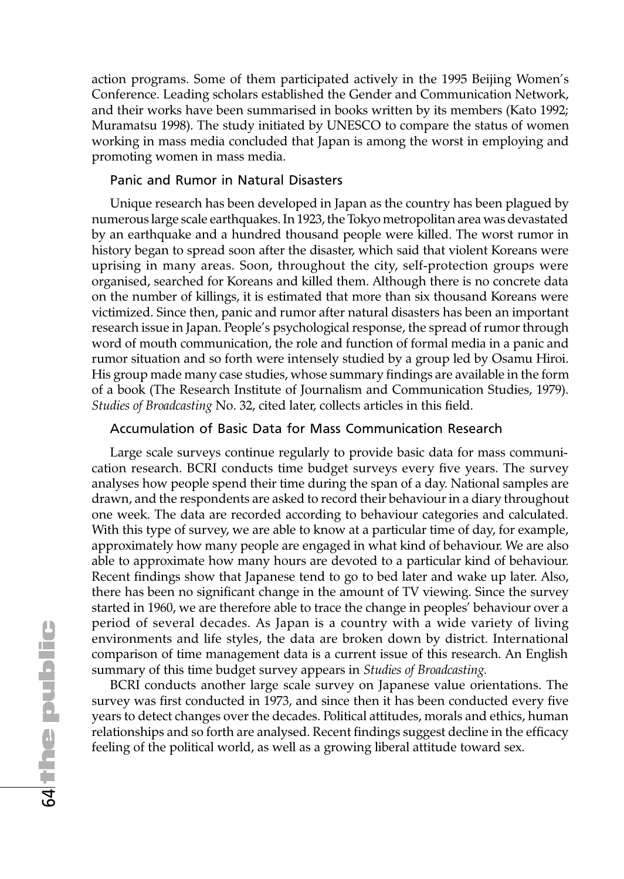action programs. Some of them participated actively in the 1995 Beijing Women's Conference. Leading scholars established the Gender and Communication Network, and their works have been summarised in books written by its members (Kato 1992; Muramatsu 1998). The study initiated by UNESCO to compare the status of women working in mass media concluded that Japan is among the worst in employing and promoting women in mass media.

## Panic and Rumor in Natural Disasters

Unique research has been developed in Japan as the country has been plagued by numerous large scale earthquakes. In 1923, the Tokyo metropolitan area was devastated by an earthquake and a hundred thousand people were killed. The worst rumor in history began to spread soon after the disaster, which said that violent Koreans were uprising in many areas. Soon, throughout the city, self-protection groups were organised, searched for Koreans and killed them. Although there is no concrete data on the number of killings, it is estimated that more than six thousand Koreans were victimized. Since then, panic and rumor after natural disasters has been an important research issue in Japan. People's psychological response, the spread of rumor through word of mouth communication, the role and function of formal media in a panic and rumor situation and so forth were intensely studied by a group led by Osamu Hiroi. His group made many case studies, whose summary findings are available in the form of a book (The Research Institute of Journalism and Communication Studies, 1979). Studies of Broadcasting No. 32, cited later, collects articles in this field.

# Accumulation of Basic Data for Mass Communication Research

Large scale surveys continue regularly to provide basic data for mass communication research. BCRI conducts time budget surveys every five years. The survey analyses how people spend their time during the span of a day. National samples are drawn, and the respondents are asked to record their behaviour in a diary throughout one week. The data are recorded according to behaviour categories and calculated. With this type of survey, we are able to know at a particular time of day, for example, approximately how many people are engaged in what kind of behaviour. We are also able to approximate how many hours are devoted to a particular kind of behaviour. Recent findings show that Japanese tend to go to bed later and wake up later. Also, there has been no significant change in the amount of TV viewing. Since the survey started in 1960, we are therefore able to trace the change in peoples' behaviour over a period of several decades. As Japan is a country with a wide variety of living environments and life styles, the data are broken down by district. International comparison of time management data is a current issue of this research. An English summary of this time budget survey appears in Studies of Broadcasting.

BCRI conducts another large scale survey on Japanese value orientations. The survey was first conducted in 1973, and since then it has been conducted every five years to detect changes over the decades. Political attitudes, morals and ethics, human relationships and so forth are analysed. Recent findings suggest decline in the efficacy feeling of the political world, as well as a growing liberal attitude toward sex.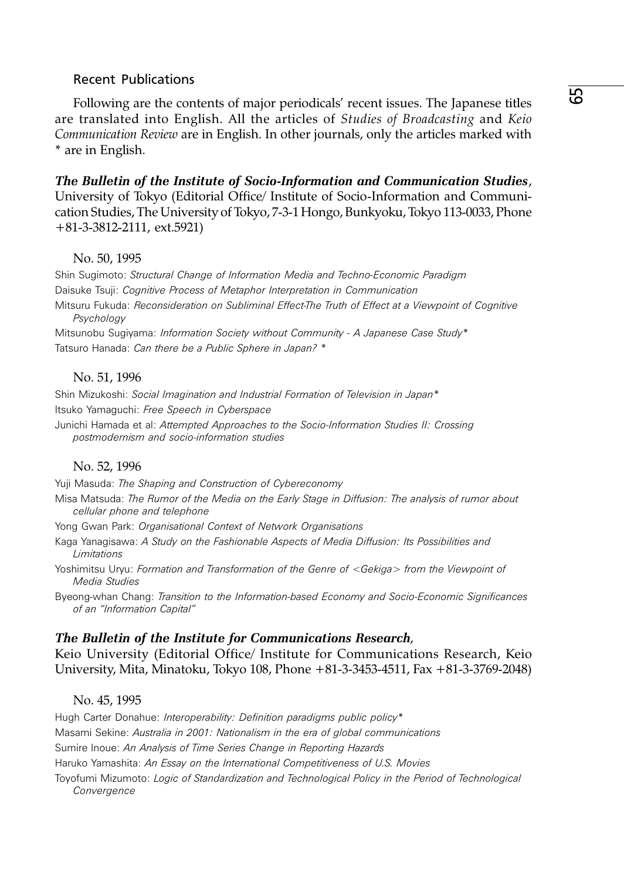#### Recent Publications

Following are the contents of major periodicals' recent issues. The Japanese titles are translated into English. All the articles of Studies of Broadcasting and Keio Communication Review are in English. In other journals, only the articles marked with \* are in English.

The Bulletin of the Institute of Socio-Information and Communication Studies, University of Tokyo (Editorial Office/ Institute of Socio-Information and Communication Studies, The University of Tokyo, 7-3-1 Hongo, Bunkyoku, Tokyo 113-0033, Phone +81-3-3812-2111, ext.5921)

#### No. 50, 1995

Shin Sugimoto: Structural Change of Information Media and Techno-Economic Paradigm Daisuke Tsuji: Cognitive Process of Metaphor Interpretation in Communication

Mitsuru Fukuda: Reconsideration on Subliminal Effect-The Truth of Effect at a Viewpoint of Cognitive Psychology

Mitsunobu Sugiyama: Information Society without Community - A Japanese Case Study\* Tatsuro Hanada: Can there be a Public Sphere in Japan? \*

#### No. 51, 1996

Shin Mizukoshi: Social Imagination and Industrial Formation of Television in Japan\* Itsuko Yamaguchi: Free Speech in Cyberspace Junichi Hamada et al: Attempted Approaches to the Socio-Information Studies II: Crossing

postmodernism and socio-information studies

#### No. 52, 1996

Yuji Masuda: The Shaping and Construction of Cybereconomy

Misa Matsuda: The Rumor of the Media on the Early Stage in Diffusion: The analysis of rumor about cellular phone and telephone

Yong Gwan Park: Organisational Context of Network Organisations

- Kaga Yanagisawa: A Study on the Fashionable Aspects of Media Diffusion: Its Possibilities and Limitations
- Yoshimitsu Uryu: Formation and Transformation of the Genre of <Gekiga> from the Viewpoint of Media Studies

#### The Bulletin of the Institute for Communications Research,

Keio University (Editorial Office/ Institute for Communications Research, Keio University, Mita, Minatoku, Tokyo 108, Phone +81-3-3453-4511, Fax +81-3-3769-2048)

#### No. 45, 1995

Hugh Carter Donahue: Interoperability: Definition paradigms public policy\*

Masami Sekine: Australia in 2001: Nationalism in the era of global communications

Sumire Inoue: An Analysis of Time Series Change in Reporting Hazards

Haruko Yamashita: An Essay on the International Competitiveness of U.S. Movies

Toyofumi Mizumoto: Logic of Standardization and Technological Policy in the Period of Technological Convergence

Byeong-whan Chang: Transition to the Information-based Economy and Socio-Economic Significances of an "Information Capital"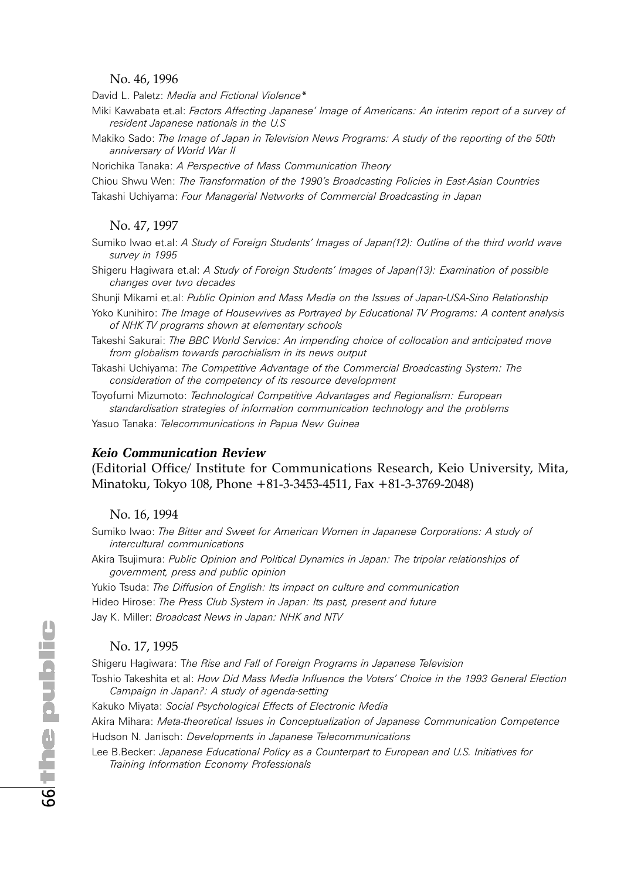#### No. 46, 1996

David L. Paletz: Media and Fictional Violence\*

- Miki Kawabata et.al: Factors Affecting Japanese' Image of Americans: An interim report of a survey of resident Japanese nationals in the U.S
- Makiko Sado: The Image of Japan in Television News Programs: A study of the reporting of the 50th anniversary of World War II

Norichika Tanaka: A Perspective of Mass Communication Theory

Chiou Shwu Wen: The Transformation of the 1990's Broadcasting Policies in East-Asian Countries Takashi Uchiyama: Four Managerial Networks of Commercial Broadcasting in Japan

### No. 47, 1997

- Sumiko Iwao et.al: A Study of Foreign Students' Images of Japan(12): Outline of the third world wave survey in 1995
- Shigeru Hagiwara et.al: A Study of Foreign Students' Images of Japan(13): Examination of possible changes over two decades

Shunji Mikami et.al: Public Opinion and Mass Media on the Issues of Japan-USA-Sino Relationship

- Yoko Kunihiro: The Image of Housewives as Portrayed by Educational TV Programs: A content analysis of NHK TV programs shown at elementary schools
- Takeshi Sakurai: The BBC World Service: An impending choice of collocation and anticipated move from globalism towards parochialism in its news output
- Takashi Uchiyama: The Competitive Advantage of the Commercial Broadcasting System: The consideration of the competency of its resource development

Toyofumi Mizumoto: Technological Competitive Advantages and Regionalism: European standardisation strategies of information communication technology and the problems

Yasuo Tanaka: Telecommunications in Papua New Guinea

### Keio Communication Review

(Editorial Office/ Institute for Communications Research, Keio University, Mita, Minatoku, Tokyo 108, Phone +81-3-3453-4511, Fax +81-3-3769-2048)

#### No. 16, 1994

- Sumiko Iwao: The Bitter and Sweet for American Women in Japanese Corporations: A study of intercultural communications
- Akira Tsujimura: Public Opinion and Political Dynamics in Japan: The tripolar relationships of government, press and public opinion
- Yukio Tsuda: The Diffusion of English: Its impact on culture and communication
- Hideo Hirose: The Press Club System in Japan: Its past, present and future

Jay K. Miller: Broadcast News in Japan: NHK and NTV

#### No. 17, 1995

Shigeru Hagiwara: The Rise and Fall of Foreign Programs in Japanese Television

Toshio Takeshita et al: How Did Mass Media Influence the Voters' Choice in the 1993 General Election Campaign in Japan?: A study of agenda-setting

Kakuko Miyata: Social Psychological Effects of Electronic Media Akira Mihara: Meta-theoretical Issues in Conceptualization of Japanese Communication Competence Hudson N. Janisch: Developments in Japanese Telecommunications

Lee B.Becker: Japanese Educational Policy as a Counterpart to European and U.S. Initiatives for Training Information Economy Professionals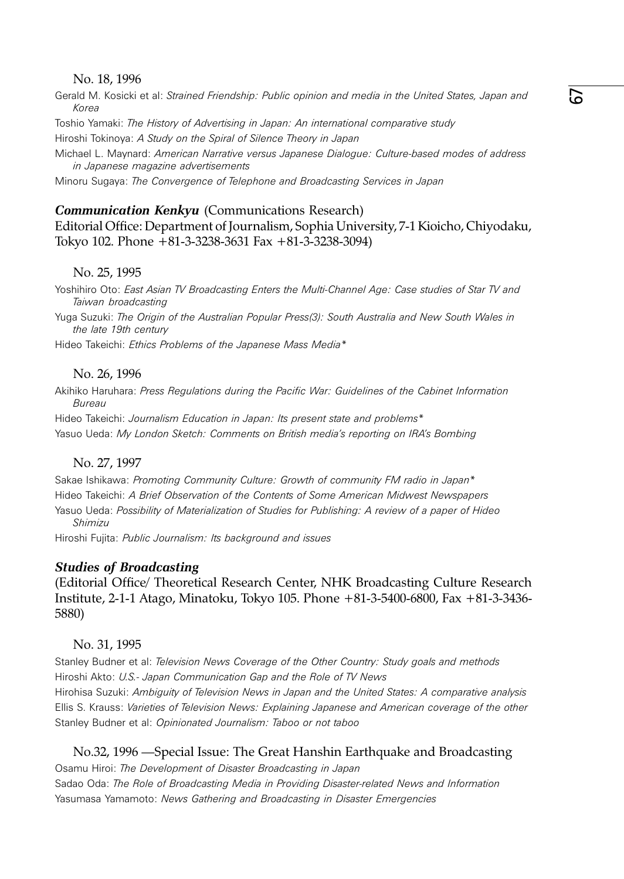#### No. 18, 1996

Gerald M. Kosicki et al: Strained Friendship: Public opinion and media in the United States, Japan and Korea

Toshio Yamaki: The History of Advertising in Japan: An international comparative study

Hiroshi Tokinoya: A Study on the Spiral of Silence Theory in Japan

Michael L. Maynard: American Narrative versus Japanese Dialogue: Culture-based modes of address in Japanese magazine advertisements

Minoru Sugaya: The Convergence of Telephone and Broadcasting Services in Japan

#### **Communication Kenkyu** (Communications Research)

Editorial Office: Department of Journalism, Sophia University, 7-1 Kioicho, Chiyodaku, Tokyo 102. Phone +81-3-3238-3631 Fax +81-3-3238-3094)

### No. 25, 1995

Yoshihiro Oto: East Asian TV Broadcasting Enters the Multi-Channel Age: Case studies of Star TV and Taiwan broadcasting

Yuga Suzuki: The Origin of the Australian Popular Press(3): South Australia and New South Wales in the late 19th century

Hideo Takeichi: Ethics Problems of the Japanese Mass Media\*

#### No. 26, 1996

Akihiko Haruhara: Press Regulations during the Pacific War: Guidelines of the Cabinet Information **Bureau** 

Hideo Takeichi: Journalism Education in Japan: Its present state and problems\* Yasuo Ueda: My London Sketch: Comments on British media's reporting on IRA's Bombing

#### No. 27, 1997

Sakae Ishikawa: Promoting Community Culture: Growth of community FM radio in Japan\* Hideo Takeichi: A Brief Observation of the Contents of Some American Midwest Newspapers Yasuo Ueda: Possibility of Materialization of Studies for Publishing: A review of a paper of Hideo Shimizu

Hiroshi Fujita: Public Journalism: Its background and issues

#### Studies of Broadcasting

(Editorial Office/ Theoretical Research Center, NHK Broadcasting Culture Research Institute, 2-1-1 Atago, Minatoku, Tokyo 105. Phone +81-3-5400-6800, Fax +81-3-3436- 5880)

#### No. 31, 1995

Stanley Budner et al: Television News Coverage of the Other Country: Study goals and methods Hiroshi Akto: U.S.- Japan Communication Gap and the Role of TV News Hirohisa Suzuki: Ambiguity of Television News in Japan and the United States: A comparative analysis Ellis S. Krauss: Varieties of Television News: Explaining Japanese and American coverage of the other Stanley Budner et al: Opinionated Journalism: Taboo or not taboo

#### No.32, 1996 – Special Issue: The Great Hanshin Earthquake and Broadcasting

Osamu Hiroi: The Development of Disaster Broadcasting in Japan Sadao Oda: The Role of Broadcasting Media in Providing Disaster-related News and Information Yasumasa Yamamoto: News Gathering and Broadcasting in Disaster Emergencies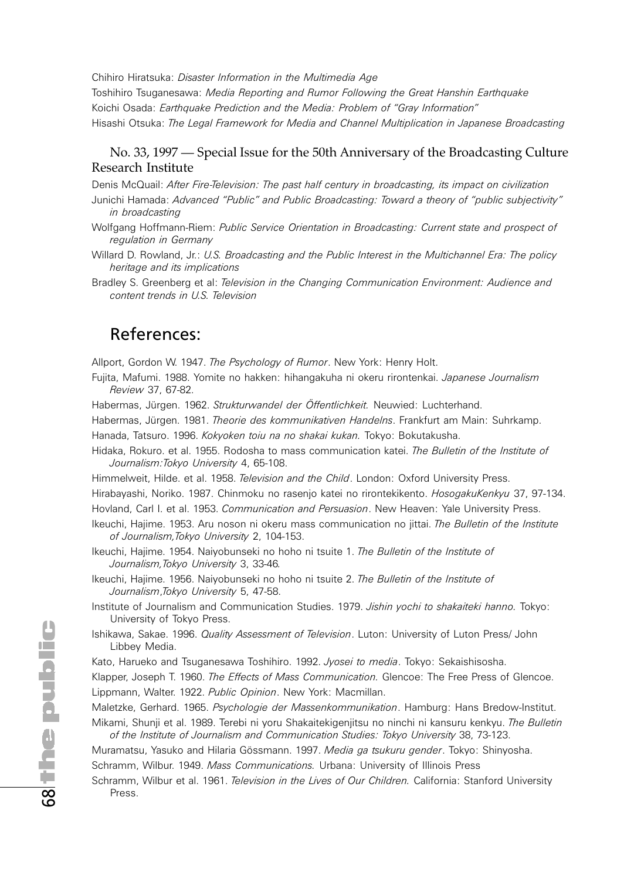Chihiro Hiratsuka: Disaster Information in the Multimedia Age

Toshihiro Tsuganesawa: Media Reporting and Rumor Following the Great Hanshin Earthquake Koichi Osada: Earthquake Prediction and the Media: Problem of "Gray Information" Hisashi Otsuka: The Legal Framework for Media and Channel Multiplication in Japanese Broadcasting

# No. 33, 1997 — Special Issue for the 50th Anniversary of the Broadcasting Culture Research Institute

Denis McQuail: After Fire-Television: The past half century in broadcasting, its impact on civilization

- Junichi Hamada: Advanced "Public" and Public Broadcasting: Toward a theory of "public subjectivity" in broadcasting
- Wolfgang Hoffmann-Riem: Public Service Orientation in Broadcasting: Current state and prospect of regulation in Germany
- Willard D. Rowland, Jr.: U.S. Broadcasting and the Public Interest in the Multichannel Era: The policy heritage and its implications

Bradley S. Greenberg et al: Television in the Changing Communication Environment: Audience and content trends in U.S. Television

# References:

Allport, Gordon W. 1947. The Psychology of Rumor. New York: Henry Holt.

- Fujita, Mafumi. 1988. Yomite no hakken: hihangakuha ni okeru rirontenkai. Japanese Journalism Review 37, 67-82.
- Habermas, Jürgen. 1962. Strukturwandel der Öffentlichkeit. Neuwied: Luchterhand.

Habermas, Jürgen. 1981. Theorie des kommunikativen Handelns. Frankfurt am Main: Suhrkamp.

Hanada, Tatsuro. 1996. Kokyoken toiu na no shakai kukan. Tokyo: Bokutakusha.

- Hidaka, Rokuro. et al. 1955. Rodosha to mass communication katei. The Bulletin of the Institute of Journalism:Tokyo University 4, 65-108.
- Himmelweit, Hilde. et al. 1958. Television and the Child. London: Oxford University Press.
- Hirabayashi, Noriko. 1987. Chinmoku no rasenjo katei no rirontekikento. HosogakuKenkyu 37, 97-134.

Hovland, Carl I. et al. 1953. Communication and Persuasion. New Heaven: Yale University Press.

- Ikeuchi, Hajime. 1953. Aru noson ni okeru mass communication no jittai. The Bulletin of the Institute of Journalism,Tokyo University 2, 104-153.
- Ikeuchi, Hajime. 1954. Naiyobunseki no hoho ni tsuite 1. The Bulletin of the Institute of Journalism,Tokyo University 3, 33-46.
- Ikeuchi, Hajime. 1956. Naiyobunseki no hoho ni tsuite 2. The Bulletin of the Institute of Journalism,Tokyo University 5, 47-58.

Institute of Journalism and Communication Studies. 1979. Jishin yochi to shakaiteki hanno. Tokyo: University of Tokyo Press.

Ishikawa, Sakae. 1996. Quality Assessment of Television. Luton: University of Luton Press/ John Libbey Media.

Kato, Harueko and Tsuganesawa Toshihiro. 1992. Jyosei to media. Tokyo: Sekaishisosha.

Klapper, Joseph T. 1960. The Effects of Mass Communication. Glencoe: The Free Press of Glencoe. Lippmann, Walter. 1922. Public Opinion. New York: Macmillan.

Maletzke, Gerhard. 1965. Psychologie der Massenkommunikation. Hamburg: Hans Bredow-Institut.

Mikami, Shunji et al. 1989. Terebi ni yoru Shakaitekigenjitsu no ninchi ni kansuru kenkyu. The Bulletin of the Institute of Journalism and Communication Studies: Tokyo University 38, 73-123.

Muramatsu, Yasuko and Hilaria Gössmann. 1997. Media ga tsukuru gender. Tokyo: Shinyosha. Schramm, Wilbur. 1949. Mass Communications. Urbana: University of Illinois Press

Schramm, Wilbur et al. 1961. Television in the Lives of Our Children. California: Stanford University Press.